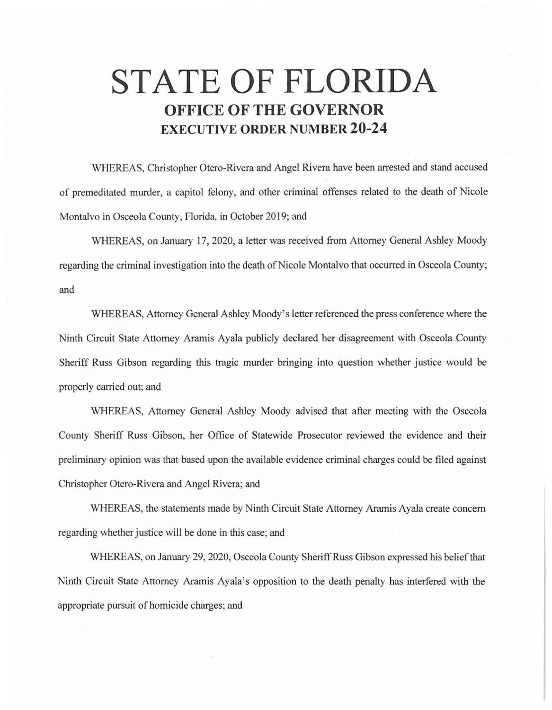## **STATE OF FLORIDA OFFICE OF THE GOVERNOR EXECUTIVE ORDER NUMBER 20-24**

WHEREAS, Christopher Otero-Rivera and Angel Rivera have been arrested and stand accused of premeditated murder, a capitol felony, and other criminal offenses related to the death of Nicole Montalvo in Osceola County, Florida, in October 2019; and

WHEREAS, on January 17, 2020, a letter was received from Attorney General Ashley Moody regarding the criminal investigation into the death of Nicole Montalvo that occurred in Osceola County; and

WHEREAS, Attorney General Ashley Moody's letter referenced the press conference where the Ninth Circuit State Attorney Aramis Ayala publicly declared her disagreement with Osceola County Sheriff Russ Gibson regarding this tragic murder bringing into question whether justice would be properly carried out; and

WHEREAS, Attorney General Ashley Moody advised that after meeting with the Osceola County Sheriff Russ Gibson, her Office of Statewide Prosecutor reviewed the evidence and their preliminary opinion was that based upon the available evidence criminal charges could be filed against Christopher Otero-Rivera and Angel Rivera; and

WHEREAS, the statements made by Ninth Circuit State Attorney Aramis Ayala create concern regarding whether justice will be done in this case; and

WHEREAS, on January 29, 2020, Osceola County Sheriff Russ Gibson expressed his belief that Ninth Circuit State Attorney Aramis Ayala's opposition to the death penalty has interfered with the appropriate pursuit of homicide charges; and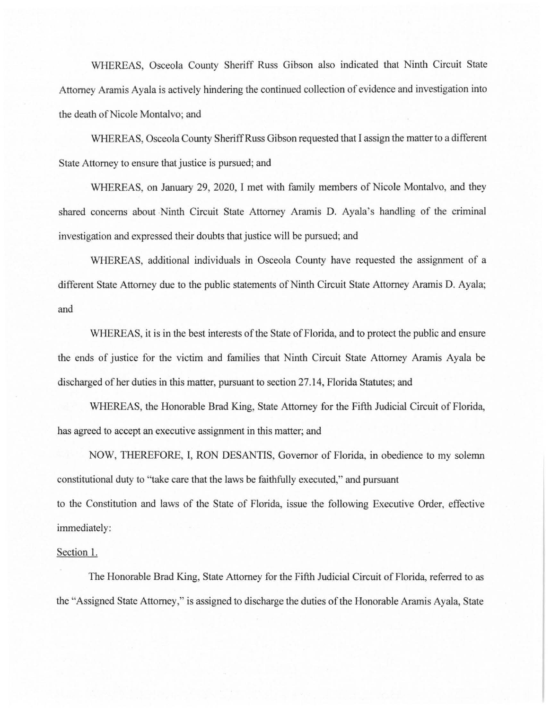WHEREAS, Osceola County Sheriff Russ Gibson also indicated that Ninth Circuit State Attorney Aramis Ayala is actively hindering the continued collection of evidence and investigation into the death of Nicole Montalvo; and

WHEREAS, Osceola County Sheriff Russ Gibson requested that I assign the matter to a different State Attorney to ensure that justice is pursued; and

WHEREAS, on January 29, 2020, I met with family members of Nicole Montalvo, and they shared concerns about .Ninth Circuit State Attorney Aramis D. Ayala's handling of the criminal investigation and expressed their doubts that justice will be pursued; and

WHEREAS, additional individuals in Osceola County have requested the assignment of a different State Attorney due to the public statements of Ninth Circuit State Attorney Aramis D. Ayala; and

WHEREAS, it is in the best interests of the State of Florida, and to protect the public and ensure the ends of justice for the victim and families that Ninth Circuit State Attorney Aramis Ayala be discharged of her duties in this matter, pursuant to section 27.14, Florida Statutes; and

WHEREAS, the Honorable Brad King, State Attorney for the Fifth Judicial Circuit of Florida, has agreed to accept an executive assignment in this matter; and

NOW, THEREFORE, I, RON DESANTIS, Governor of Florida, in obedience to my solemn constitutional duty to "take care that the laws be faithfully executed," and pursuant

to the Constitution and laws of the State of Florida, issue the following Executive Order, effective immediately:

## Section l.

The Honorable Brad King, State Attorney for the Fifth Judicial Circuit of Florida, referred to as the "Assigned State Attorney," is assigned to discharge the duties of the Honorable Aramis Ayala, State